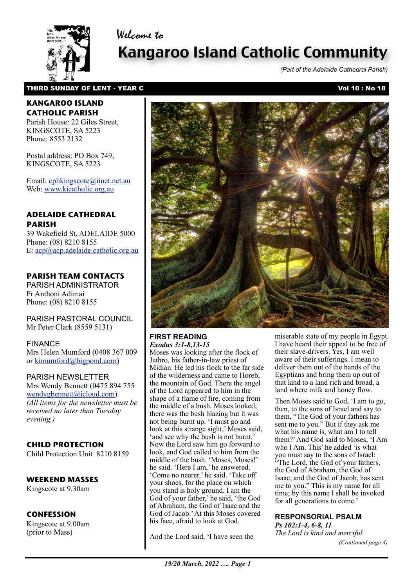Welcome to



# Kangaroo Island Catholic Community

*(Part of the Adelaide Cathedral Parish)*

## THIRD SUNDAY OF LENT - YEAR C Vol 10 : No 18

### **KANGAROO ISLAND CATHOLIC PARISH**

Parish House: 22 Giles Street, KINGSCOTE, SA 5223 Phone: 8553 2132

Postal address: PO Box 749, KINGSCOTE, SA 5223

Email[: cphkingscote@iinet.net.au](mailto:cphkingscote@iinet.net.au) Web: [www.kicatholic.org.au](http://www.kicatholic.org.au)

## **ADELAIDE CATHEDRAL PARISH**

39 Wakefield St, ADELAIDE 5000 Phone: (08) 8210 8155 E: [acp@acp.adelaide.catholic.org.au](mailto:?subject=)

# **PARISH TEAM CONTACTS**

PARISH ADMINISTRATOR Fr Anthoni Adimai Phone: (08) 8210 8155

PARISH PASTORAL COUNCIL Mr Peter Clark (8559 5131)

FINANCE Mrs Helen Mumford (0408 367 009 or [kimumford@bigpond.com\)](mailto:kimumford@bigpond.com)

PARISH NEWSLETTER Mrs Wendy Bennett (0475 894 755 [wendygbennett@icloud.com\)](mailto:wendygbennett@icloud.com) *(All items for the newsletter must be received no later than Tuesday evening.)*

# **CHILD PROTECTION**

Child Protection Unit 8210 8159

#### **WEEKEND MASSES**

Kingscote at 9.30am

#### **CONFESSION**

Kingscote at 9.00am (prior to Mass)



#### **FIRST READING** *Exodus 3:1-8,13-15*

Moses was looking after the flock of Jethro, his father-in-law priest of Midian. He led his flock to the far side of the wilderness and came to Horeb, the mountain of God. There the angel of the Lord appeared to him in the shape of a flame of fire, coming from the middle of a bush. Moses looked; there was the bush blazing but it was not being burnt up. 'I must go and look at this strange sight,' Moses said, 'and see why the bush is not burnt.' Now the Lord saw him go forward to look, and God called to him from the middle of the bush. 'Moses, Moses!' he said. 'Here I am,' he answered. 'Come no nearer,' he said. 'Take off your shoes, for the place on which you stand is holy ground. I am the God of your father,' he said, 'the God of Abraham, the God of Isaac and the God of Jacob.' At this Moses covered his face, afraid to look at God.

And the Lord said, 'I have seen the

miserable state of my people in Egypt. I have heard their appeal to be free of their slave-drivers. Yes, I am well aware of their sufferings. I mean to deliver them out of the hands of the Egyptians and bring them up out of that land to a land rich and broad, a land where milk and honey flow.

 Then Moses said to God, 'I am to go, then, to the sons of Israel and say to them, "The God of your fathers has sent me to you." But if they ask me what his name is, what am I to tell them?' And God said to Moses, 'I Am who I Am. This' he added 'is what you must say to the sons of Israel: "The Lord, the God of your fathers, the God of Abraham, the God of Isaac, and the God of Jacob, has sent me to you." This is my name for all time; by this name I shall be invoked for all generations to come.'

# **RESPONSORIAL PSALM**

*Ps 102:1-4, 6-8, 11 The Lord is kind and merciful. (Continued page 4)*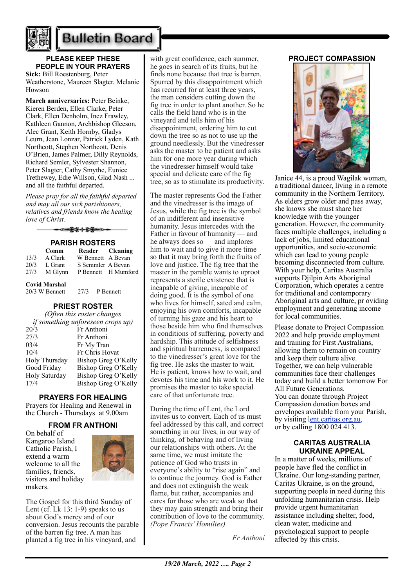

# **Bulletin Board**

# **PLEASE KEEP THESE PEOPLE IN YOUR PRAYERS**

**Sick:** Bill Roestenburg, Peter Weatherstone, Maureen Slagter, Melanie Howson

**March anniversaries:** Peter Beinke, Kieren Berden, Ellen Clarke, Peter Clark, Ellen Denholm, Inez Frawley, Kathleen Gannon, Archbishop Gleeson, Alec Grant, Keith Hornby, Gladys Leurn, Jean Lonzar, Patrick Lyden, Kath Northcott, Stephen Northcott, Denis O'Brien, James Palmer, Dilly Reynolds, Richard Semler, Sylvester Shannon, Peter Slagter, Cathy Smythe, Eunice Trethewey, Edie Willson, Glad Nash ... and all the faithful departed.

*Please pray for all the faithful departed and may all our sick parishioners, relatives and friends know the healing love of Christ.*

> ▅<del>▓</del>╬╬▇ **PARISH ROSTERS**

| FANJI NUJILINJ                         |         |                     |  |                   |
|----------------------------------------|---------|---------------------|--|-------------------|
|                                        | Comm    |                     |  | Reader Cleaning   |
| 13/3                                   | A Clark |                     |  | W Bennett A Bevan |
| 20/3                                   | L Grant | S Semmler A Bevan   |  |                   |
| 27/3                                   | M Glynn | P Bennett H Mumford |  |                   |
| <b>Covid Marshal</b><br>20/3 W Bennett |         | 27/3 P Bennett      |  |                   |

#### **PRIEST ROSTER**

| (Often this roster changes |                                   |  |  |  |  |
|----------------------------|-----------------------------------|--|--|--|--|
|                            | if something unforeseen crops up) |  |  |  |  |
| 20/3                       | Fr Anthoni                        |  |  |  |  |
| 27/3                       | Fr Anthoni                        |  |  |  |  |
| 03/4                       | Fr My Tran                        |  |  |  |  |
| 10/4                       | Fr Chris Hovat                    |  |  |  |  |
| Holy Thursday              | Bishop Greg O'Kelly               |  |  |  |  |
| Good Friday                | Bishop Greg O'Kelly               |  |  |  |  |
| Holy Saturday              | Bishop Greg O'Kelly               |  |  |  |  |
| 17/4                       | Bishop Greg O'Kelly               |  |  |  |  |
|                            |                                   |  |  |  |  |

#### **PRAYERS FOR HEALING**

Prayers for Healing and Renewal in the Church - Thursdays at 9.00am

#### **FROM FR ANTHONI**

On behalf of Kangaroo Island Catholic Parish, I extend a warm welcome to all the families, friends, visitors and holiday makers.



The Gospel for this third Sunday of Lent (cf. Lk  $13: 1-9$ ) speaks to us about God's mercy and of our conversion. Jesus recounts the parable of the barren fig tree. A man has planted a fig tree in his vineyard, and

with great confidence, each summer he goes in search of its fruits, but he finds none because that tree is barren. Spurred by this disappointment which has recurred for at least three years, the man considers cutting down the fig tree in order to plant another. So he calls the field hand who is in the vineyard and tells him of his disappointment, ordering him to cut down the tree so as not to use up the ground needlessly. But the vinedresser asks the master to be patient and asks him for one more year during which the vinedresser himself would take special and delicate care of the fig tree, so as to stimulate its productivity.

The master represents God the Father and the vinedresser is the image of Jesus, while the fig tree is the symbol of an indifferent and insensitive humanity. Jesus intercedes with the Father in favour of humanity — and he always does so — and implores him to wait and to give it more time so that it may bring forth the fruits of love and justice. The fig tree that the master in the parable wants to uproot represents a sterile existence that is incapable of giving, incapable of doing good. It is the symbol of one who lives for himself, sated and calm, enjoying his own comforts, incapable of turning his gaze and his heart to those beside him who find themselves in conditions of suffering, poverty and hardship. This attitude of selfishness and spiritual barrenness, is compared to the vinedresser's great love for the fig tree. He asks the master to wait. He is patient, knows how to wait, and devotes his time and his work to it. He promises the master to take special care of that unfortunate tree.

During the time of Lent, the Lord invites us to convert. Each of us must feel addressed by this call, and correct something in our lives, in our way of thinking, of behaving and of living our relationships with others. At the same time, we must imitate the patience of God who trusts in everyone's ability to "rise again" and to continue the journey. God is Father and does not extinguish the weak flame, but rather, accompanies and cares for those who are weak so that they may gain strength and bring their contribution of love to the community. *(Pope Francis' Homilies)*

*Fr Anthoni*

#### **PROJECT COMPASSION**



Janice 44, is a proud Wagilak woman, a traditional dancer, living in a remote community in the Northern Territory. As elders grow older and pass away, she knows she must share her knowledge with the younger generation. However, the community faces multiple challenges, including a lack of jobs, limited educational opportunities, and socio-economic which can lead to young people becoming disconnected from culture. With your help, Caritas Australia supports Djilpin Arts Aboriginal Corporation, which operates a centre for traditional and contemporary Aboriginal arts and culture, pr oviding employment and generating income for local communities.

Please donate to Project Compassion 2022 and help provide employment and training for First Australians, allowing them to remain on country and keep their culture alive. Together, we can help vulnerable communities face their challenges today and build a better tomorrow For All Future Generations. You can donate through Project Compassion donation boxes and envelopes available from your Parish, by visiting [lent.caritas.org.au,](http://www.caritas.org.au/projectcompassion) or by calling 1800 024 413.

#### **CARITAS AUSTRALIA UKRAINE APPEAL**

In a matter of weeks, millions of people have fled the conflict in Ukraine. Our long-standing partner, Caritas Ukraine, is on the ground, supporting people in need during this unfolding humanitarian crisis. Help provide urgent humanitarian assistance including shelter, food, clean water, medicine and psychological support to people affected by this crisis.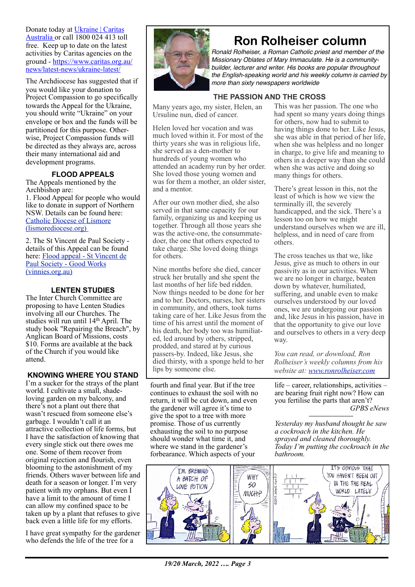Donate today at [Ukraine | Caritas](https://www.caritas.org.au/donate/emergency-appeals/ukraine/)  [Australia](https://www.caritas.org.au/donate/emergency-appeals/ukraine/) or call 1800 024 413 toll free. Keep up to date on the latest activities by Caritas agencies on the ground - [https://www.caritas.org.au/](https://www.caritas.org.au/news/latest-news/ukraine-latest/) [news/latest-news/ukraine-latest/](https://www.caritas.org.au/news/latest-news/ukraine-latest/)

The Archdiocese has suggested that if you would like your donation to Project Compassion to go specifically towards the Appeal for the Ukraine, you should write "Ukraine" on your envelope or box and the funds will be partitioned for this purpose. Otherwise, Project Compassion funds will be directed as they always are, across their many international aid and development programs.

# **FLOOD APPEALS**

The Appeals mentioned by the Archbishop are:

1. Flood Appeal for people who would like to donate in support of Northern NSW. Details can be found here: [Catholic Diocese of Lismore](https://www.lismorediocese.org/)  [\(lismorediocese.org\)](https://www.lismorediocese.org/) 

2. The St Vincent de Paul Society details of this Appeal can be found here: [Flood appeal - St Vincent de](https://www.vinnies.org.au/page/Find_Help/Flood_appeal/)  [Paul Society - Good Works](https://www.vinnies.org.au/page/Find_Help/Flood_appeal/)  [\(vinnies.org.au\)](https://www.vinnies.org.au/page/Find_Help/Flood_appeal/)

### **LENTEN STUDIES**

The Inter Church Committee are proposing to have Lenten Studies involving all our Churches. The studies will run until 14th April. The study book "Repairing the Breach", by Anglican Board of Missions, costs \$10. Forms are available at the back of the Church if you would like attend.

#### **KNOWING WHERE YOU STAND**

I'm a sucker for the strays of the plant world. I cultivate a small, shadeloving garden on my balcony, and there's not a plant out there that wasn't rescued from someone else's garbage. I wouldn't call it an attractive collection of life forms, but I have the satisfaction of knowing that every single stick out there owes me one. Some of them recover from original rejection and flourish, even blooming to the astonishment of my friends. Others waver between life and death for a season or longer. I'm very patient with my orphans. But even I have a limit to the amount of time I can allow my confined space to be taken up by a plant that refuses to give back even a little life for my efforts.

I have great sympathy for the gardener who defends the life of the tree for a



# **Ron Rolheiser column**

*Ronald Rolheiser, a Roman Catholic priest and member of the Missionary Oblates of Mary Immaculate. He is a communitybuilder, lecturer and writer. His books are popular throughout the English-speaking world and his weekly column is carried by more than sixty newspapers worldwide*

## **THE PASSION AND THE CROSS**

Many years ago, my sister, Helen, an Ursuline nun, died of cancer.

Helen loved her vocation and was much loved within it. For most of the thirty years she was in religious life, she served as a den-mother to hundreds of young women who attended an academy run by her order. She loved those young women and was for them a mother, an older sister, and a mentor.

After our own mother died, she also served in that same capacity for our family, organizing us and keeping us together. Through all those years she was the active-one, the consummatedoer, the one that others expected to take charge. She loved doing things for others.

Nine months before she died, cancer struck her brutally and she spent the last months of her life bed ridden. Now things needed to be done for her and to her. Doctors, nurses, her sisters in community, and others, took turns taking care of her. Like Jesus from the time of his arrest until the moment of his death, her body too was humiliated, led around by others, stripped, prodded, and stared at by curious passers-by. Indeed, like Jesus, she died thirsty, with a sponge held to her lips by someone else.

fourth and final year. But if the tree continues to exhaust the soil with no return, it will be cut down, and even the gardener will agree it's time to give the spot to a tree with more promise. Those of us currently exhausting the soil to no purpose should wonder what time it, and where we stand in the gardener's forbearance. Which aspects of your

This was her passion. The one who had spent so many years doing things for others, now had to submit to having things done to her. Like Jesus, she was able in that period of her life, when she was helpless and no longer in charge, to give life and meaning to others in a deeper way than she could when she was active and doing so many things for others.

There's great lesson in this, not the least of which is how we view the terminally ill, the severely handicapped, and the sick. There's a lesson too on how we might understand ourselves when we are ill, helpless, and in need of care from others.

The cross teaches us that we, like Jesus, give as much to others in our passivity as in our activities. When we are no longer in charge, beaten down by whatever, humiliated, suffering, and unable even to make ourselves understood by our loved ones, we are undergoing our passion and, like Jesus in his passion, have in that the opportunity to give our love and ourselves to others in a very deep way.

*You can read, or download, Ron Rolheiser's weekly columns from his website at: [www.ronrolheiser.com](http://www.ronrolheiser.com)*

life – career, relationships, activities – are bearing fruit right now? How can you fertilise the parts that aren't? *GPBS eNews*

*Yesterday my husband thought he saw a cockroach in the kitchen. He sprayed and cleaned thoroughly. Today I'm putting the cockroach in the bathroom.*